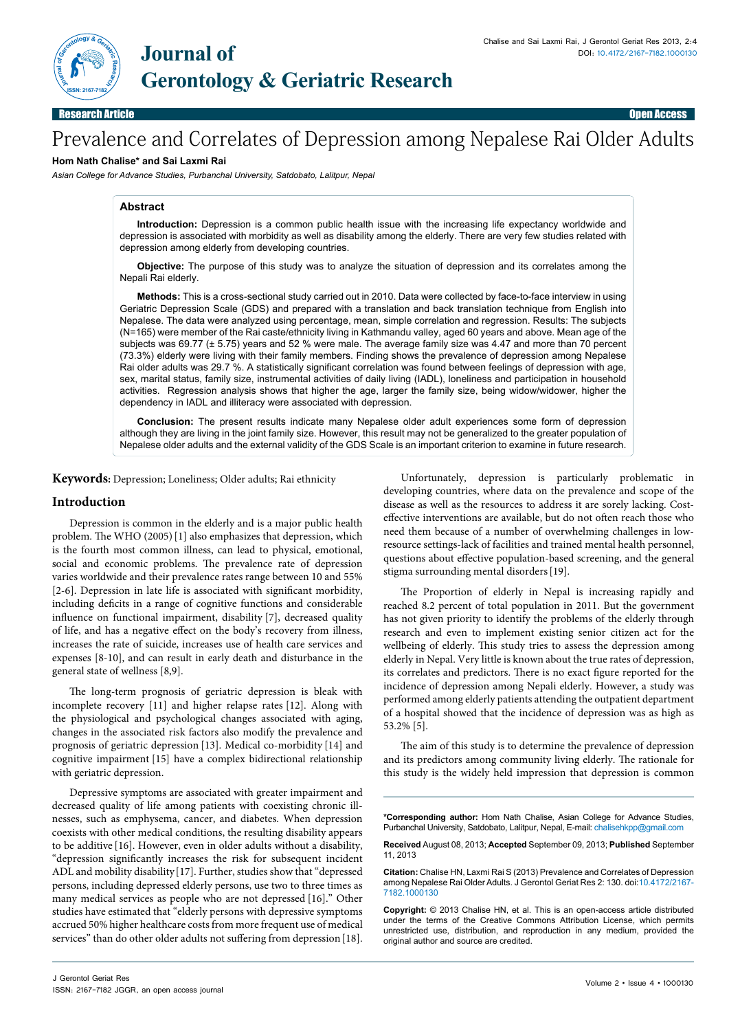

**ISSN: 2167-7182**

# Prevalence and Correlates of Depression among Nepalese Rai Older Adults

#### **Hom Nath Chalise\* and Sai Laxmi Rai**

*Asian College for Advance Studies, Purbanchal University, Satdobato, Lalitpur, Nepal*

# **Abstract**

**Introduction:** Depression is a common public health issue with the increasing life expectancy worldwide and depression is associated with morbidity as well as disability among the elderly. There are very few studies related with depression among elderly from developing countries.

**Objective:** The purpose of this study was to analyze the situation of depression and its correlates among the Nepali Rai elderly.

**Methods:** This is a cross-sectional study carried out in 2010. Data were collected by face-to-face interview in using Geriatric Depression Scale (GDS) and prepared with a translation and back translation technique from English into Nepalese. The data were analyzed using percentage, mean, simple correlation and regression. Results: The subjects (N=165) were member of the Rai caste/ethnicity living in Kathmandu valley, aged 60 years and above. Mean age of the subjects was 69.77 (± 5.75) years and 52 % were male. The average family size was 4.47 and more than 70 percent (73.3%) elderly were living with their family members. Finding shows the prevalence of depression among Nepalese Rai older adults was 29.7 %. A statistically significant correlation was found between feelings of depression with age, sex, marital status, family size, instrumental activities of daily living (IADL), loneliness and participation in household activities. Regression analysis shows that higher the age, larger the family size, being widow/widower, higher the dependency in IADL and illiteracy were associated with depression.

**Conclusion:** The present results indicate many Nepalese older adult experiences some form of depression although they are living in the joint family size. However, this result may not be generalized to the greater population of Nepalese older adults and the external validity of the GDS Scale is an important criterion to examine in future research.

**Keywords:** Depression; Loneliness; Older adults; Rai ethnicity

### **Introduction**

Depression is common in the elderly and is a major public health problem. The WHO (2005)[1] also emphasizes that depression, which is the fourth most common illness, can lead to physical, emotional, social and economic problems. The prevalence rate of depression varies worldwide and their prevalence rates range between 10 and 55% [2-6]. Depression in late life is associated with significant morbidity, including deficits in a range of cognitive functions and considerable influence on functional impairment, disability [7], decreased quality of life, and has a negative effect on the body's recovery from illness, increases the rate of suicide, increases use of health care services and expenses [8-10], and can result in early death and disturbance in the general state of wellness [8,9].

The long-term prognosis of geriatric depression is bleak with incomplete recovery [11] and higher relapse rates [12]. Along with the physiological and psychological changes associated with aging, changes in the associated risk factors also modify the prevalence and prognosis of geriatric depression [13]. Medical co-morbidity [14] and cognitive impairment [15] have a complex bidirectional relationship with geriatric depression.

Depressive symptoms are associated with greater impairment and decreased quality of life among patients with coexisting chronic illnesses, such as emphysema, cancer, and diabetes. When depression coexists with other medical conditions, the resulting disability appears to be additive [16]. However, even in older adults without a disability, "depression significantly increases the risk for subsequent incident ADL and mobility disability[17]. Further, studies show that "depressed persons, including depressed elderly persons, use two to three times as many medical services as people who are not depressed [16]." Other studies have estimated that "elderly persons with depressive symptoms accrued 50% higher healthcare costs from more frequent use of medical services" than do other older adults not suffering from depression [18].

Unfortunately, depression is particularly problematic in developing countries, where data on the prevalence and scope of the disease as well as the resources to address it are sorely lacking. Costeffective interventions are available, but do not often reach those who need them because of a number of overwhelming challenges in lowresource settings-lack of facilities and trained mental health personnel, questions about effective population-based screening, and the general stigma surrounding mental disorders[19].

The Proportion of elderly in Nepal is increasing rapidly and reached 8.2 percent of total population in 2011. But the government has not given priority to identify the problems of the elderly through research and even to implement existing senior citizen act for the wellbeing of elderly. This study tries to assess the depression among elderly in Nepal. Very little is known about the true rates of depression, its correlates and predictors. There is no exact figure reported for the incidence of depression among Nepali elderly. However, a study was performed among elderly patients attending the outpatient department of a hospital showed that the incidence of depression was as high as 53.2% [5].

The aim of this study is to determine the prevalence of depression and its predictors among community living elderly. The rationale for this study is the widely held impression that depression is common

**Received** August 08, 2013; **Accepted** September 09, 2013; **Published** September 11, 2013

**<sup>\*</sup>Corresponding author:** Hom Nath Chalise, Asian College for Advance Studies, Purbanchal University, Satdobato, Lalitpur, Nepal, E-mail: chalisehkpp@gmail.com

**Citation:** Chalise HN, Laxmi Rai S (2013) Prevalence and Correlates of Depression among Nepalese Rai Older Adults. J Gerontol Geriat Res 2: 130. doi:10.4172/2167- 7182.1000130

**Copyright:** © 2013 Chalise HN, et al. This is an open-access article distributed under the terms of the Creative Commons Attribution License, which permits unrestricted use, distribution, and reproduction in any medium, provided the original author and source are credited.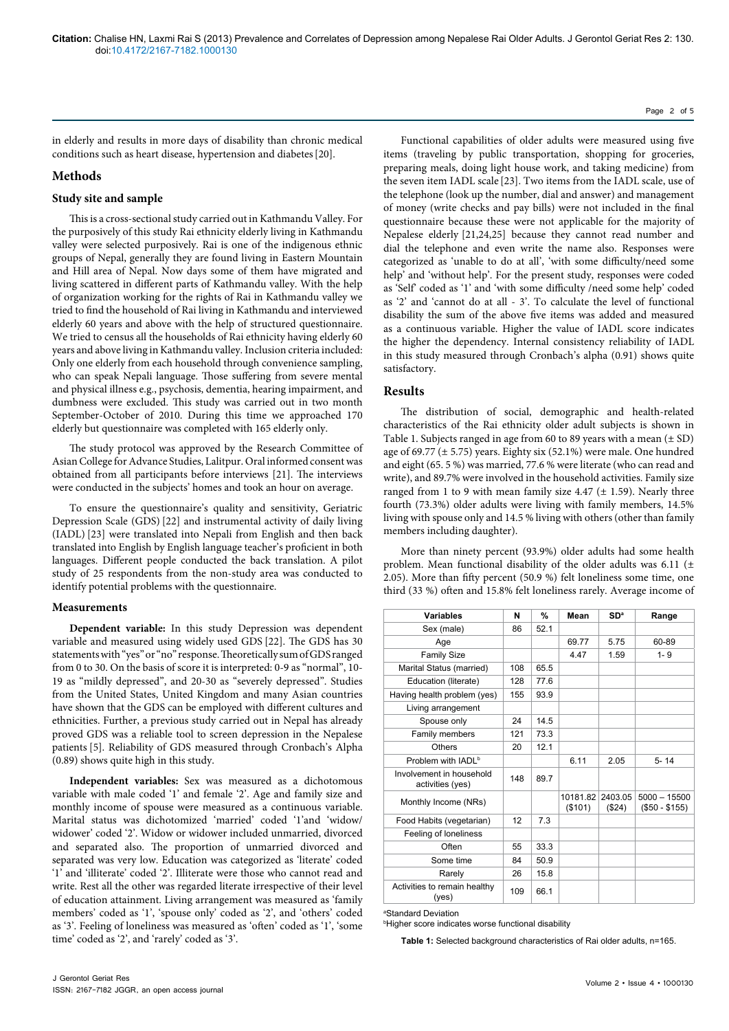in elderly and results in more days of disability than chronic medical conditions such as heart disease, hypertension and diabetes[20].

# **Methods**

### **Study site and sample**

This is a cross-sectional study carried out in Kathmandu Valley. For the purposively of this study Rai ethnicity elderly living in Kathmandu valley were selected purposively. Rai is one of the indigenous ethnic groups of Nepal, generally they are found living in Eastern Mountain and Hill area of Nepal. Now days some of them have migrated and living scattered in different parts of Kathmandu valley. With the help of organization working for the rights of Rai in Kathmandu valley we tried to find the household of Rai living in Kathmandu and interviewed elderly 60 years and above with the help of structured questionnaire. We tried to census all the households of Rai ethnicity having elderly 60 years and above living in Kathmandu valley. Inclusion criteria included: Only one elderly from each household through convenience sampling, who can speak Nepali language. Those suffering from severe mental and physical illness e.g., psychosis, dementia, hearing impairment, and dumbness were excluded. This study was carried out in two month September-October of 2010. During this time we approached 170 elderly but questionnaire was completed with 165 elderly only.

The study protocol was approved by the Research Committee of Asian College for Advance Studies, Lalitpur. Oral informed consent was obtained from all participants before interviews [21]. The interviews were conducted in the subjects' homes and took an hour on average.

To ensure the questionnaire's quality and sensitivity, Geriatric Depression Scale (GDS) [22] and instrumental activity of daily living (IADL) [23] were translated into Nepali from English and then back translated into English by English language teacher's proficient in both languages. Different people conducted the back translation. A pilot study of 25 respondents from the non-study area was conducted to identify potential problems with the questionnaire.

#### **Measurements**

**Dependent variable:** In this study Depression was dependent variable and measured using widely used GDS [22]. The GDS has 30 statements with "yes" or "no" response. Theoretically sum of GDS ranged from 0 to 30. On the basis of score it is interpreted: 0-9 as "normal", 10- 19 as "mildly depressed", and 20-30 as "severely depressed". Studies from the United States, United Kingdom and many Asian countries have shown that the GDS can be employed with different cultures and ethnicities. Further, a previous study carried out in Nepal has already proved GDS was a reliable tool to screen depression in the Nepalese patients [5]. Reliability of GDS measured through Cronbach's Alpha (0.89) shows quite high in this study.

**Independent variables:** Sex was measured as a dichotomous variable with male coded '1' and female '2'. Age and family size and monthly income of spouse were measured as a continuous variable. Marital status was dichotomized 'married' coded '1'and 'widow/ widower' coded '2'. Widow or widower included unmarried, divorced and separated also. The proportion of unmarried divorced and separated was very low. Education was categorized as 'literate' coded '1' and 'illiterate' coded '2'. Illiterate were those who cannot read and write. Rest all the other was regarded literate irrespective of their level of education attainment. Living arrangement was measured as 'family members' coded as '1', 'spouse only' coded as '2', and 'others' coded as '3'. Feeling of loneliness was measured as 'often' coded as '1', 'some time' coded as '2', and 'rarely' coded as '3'.

Page 2 of 5

Functional capabilities of older adults were measured using five items (traveling by public transportation, shopping for groceries, preparing meals, doing light house work, and taking medicine) from the seven item IADL scale [23]. Two items from the IADL scale, use of the telephone (look up the number, dial and answer) and management of money (write checks and pay bills) were not included in the final questionnaire because these were not applicable for the majority of Nepalese elderly [21,24,25] because they cannot read number and dial the telephone and even write the name also. Responses were categorized as 'unable to do at all', 'with some difficulty/need some help' and 'without help'. For the present study, responses were coded as 'Self' coded as '1' and 'with some difficulty /need some help' coded as '2' and 'cannot do at all - 3'. To calculate the level of functional disability the sum of the above five items was added and measured as a continuous variable. Higher the value of IADL score indicates the higher the dependency. Internal consistency reliability of IADL in this study measured through Cronbach's alpha (0.91) shows quite satisfactory.

## **Results**

The distribution of social, demographic and health-related characteristics of the Rai ethnicity older adult subjects is shown in Table 1. Subjects ranged in age from 60 to 89 years with a mean  $(\pm SD)$ age of 69.77 ( $\pm$  5.75) years. Eighty six (52.1%) were male. One hundred and eight (65. 5 %) was married, 77.6 % were literate (who can read and write), and 89.7% were involved in the household activities. Family size ranged from 1 to 9 with mean family size  $4.47$  ( $\pm$  1.59). Nearly three fourth (73.3%) older adults were living with family members, 14.5% living with spouse only and 14.5 % living with others (other than family members including daughter).

More than ninety percent (93.9%) older adults had some health problem. Mean functional disability of the older adults was 6.11 (± 2.05). More than fifty percent (50.9 %) felt loneliness some time, one third (33 %) often and 15.8% felt loneliness rarely. Average income of

| Variables                                    | N   | %    | Mean               | SD <sup>a</sup>   | Range                            |
|----------------------------------------------|-----|------|--------------------|-------------------|----------------------------------|
| Sex (male)                                   | 86  | 52.1 |                    |                   |                                  |
| Age                                          |     |      | 69.77              | 5.75              | 60-89                            |
| <b>Family Size</b>                           |     |      | 4.47               | 1.59              | $1 - 9$                          |
| Marital Status (married)                     | 108 | 65.5 |                    |                   |                                  |
| Education (literate)                         | 128 | 77.6 |                    |                   |                                  |
| Having health problem (yes)                  | 155 | 93.9 |                    |                   |                                  |
| Living arrangement                           |     |      |                    |                   |                                  |
| Spouse only                                  | 24  | 14.5 |                    |                   |                                  |
| Family members                               | 121 | 73.3 |                    |                   |                                  |
| Others                                       | 20  | 12.1 |                    |                   |                                  |
| Problem with IADL <sup>b</sup>               |     |      | 6.11               | 2.05              | $5 - 14$                         |
| Involvement in household<br>activities (yes) | 148 | 89.7 |                    |                   |                                  |
| Monthly Income (NRs)                         |     |      | 10181.82<br>(S101) | 2403.05<br>(\$24) | $5000 - 15500$<br>$($50 - $155)$ |
| Food Habits (vegetarian)                     | 12  | 7.3  |                    |                   |                                  |
| Feeling of loneliness                        |     |      |                    |                   |                                  |
| Often                                        | 55  | 33.3 |                    |                   |                                  |
| Some time                                    | 84  | 50.9 |                    |                   |                                  |
| Rarely                                       | 26  | 15.8 |                    |                   |                                  |
| Activities to remain healthy<br>(yes)        | 109 | 66.1 |                    |                   |                                  |

a Standard Deviation

b Higher score indicates worse functional disability

**Table 1:** Selected background characteristics of Rai older adults, n=165.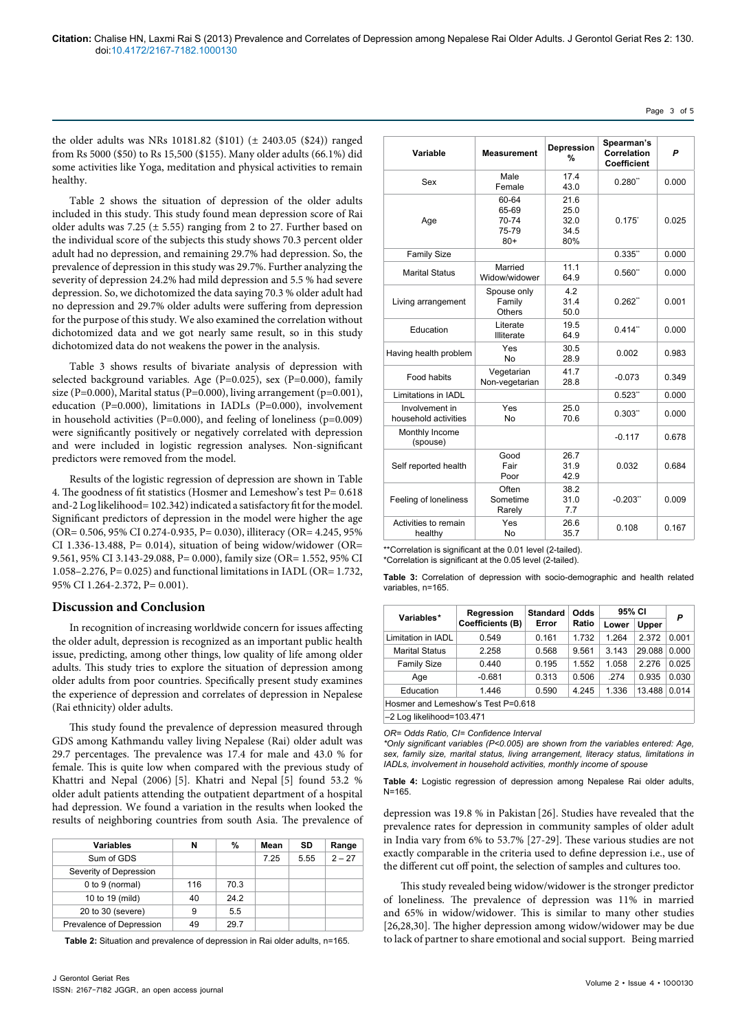Page 3 of 5

the older adults was NRs 10181.82 (\$101) (± 2403.05 (\$24)) ranged from Rs 5000 (\$50) to Rs 15,500 (\$155). Many older adults (66.1%) did some activities like Yoga, meditation and physical activities to remain healthy.

Table 2 shows the situation of depression of the older adults included in this study. This study found mean depression score of Rai older adults was 7.25 ( $\pm$  5.55) ranging from 2 to 27. Further based on the individual score of the subjects this study shows 70.3 percent older adult had no depression, and remaining 29.7% had depression. So, the prevalence of depression in this study was 29.7%. Further analyzing the severity of depression 24.2% had mild depression and 5.5 % had severe depression. So, we dichotomized the data saying 70.3 % older adult had no depression and 29.7% older adults were suffering from depression for the purpose of this study. We also examined the correlation without dichotomized data and we got nearly same result, so in this study dichotomized data do not weakens the power in the analysis.

Table 3 shows results of bivariate analysis of depression with selected background variables. Age (P=0.025), sex (P=0.000), family size (P=0.000), Marital status (P=0.000), living arrangement (p=0.001), education (P=0.000), limitations in IADLs (P=0.000), involvement in household activities ( $P=0.000$ ), and feeling of loneliness ( $p=0.009$ ) were significantly positively or negatively correlated with depression and were included in logistic regression analyses. Non-significant predictors were removed from the model.

Results of the logistic regression of depression are shown in Table 4. The goodness of fit statistics (Hosmer and Lemeshow's test P= 0.618 and-2 Log likelihood= 102.342) indicated a satisfactory fit for the model. Significant predictors of depression in the model were higher the age (OR= 0.506, 95% CI 0.274-0.935, P= 0.030), illiteracy (OR= 4.245, 95% CI 1.336-13.488, P= 0.014), situation of being widow/widower (OR= 9.561, 95% CI 3.143-29.088, P= 0.000), family size (OR= 1.552, 95% CI 1.058–2.276, P= 0.025) and functional limitations in IADL (OR= 1.732, 95% CI 1.264-2.372, P= 0.001).

#### **Discussion and Conclusion**

In recognition of increasing worldwide concern for issues affecting the older adult, depression is recognized as an important public health issue, predicting, among other things, low quality of life among older adults. This study tries to explore the situation of depression among older adults from poor countries. Specifically present study examines the experience of depression and correlates of depression in Nepalese (Rai ethnicity) older adults.

This study found the prevalence of depression measured through GDS among Kathmandu valley living Nepalese (Rai) older adult was 29.7 percentages. The prevalence was 17.4 for male and 43.0 % for female. This is quite low when compared with the previous study of Khattri and Nepal (2006) [5]. Khatri and Nepal [5] found 53.2 % older adult patients attending the outpatient department of a hospital had depression. We found a variation in the results when looked the results of neighboring countries from south Asia. The prevalence of depression was 19.8 % in Pakistan [26]. Studies have revealed that the results of neighboring countries from south Asia. The prevalence of

| N   | %    | Mean | SD   | Range    |
|-----|------|------|------|----------|
|     |      | 7.25 | 5.55 | $2 - 27$ |
|     |      |      |      |          |
| 116 | 70.3 |      |      |          |
| 40  | 24.2 |      |      |          |
| 9   | 5.5  |      |      |          |
| 49  | 29.7 |      |      |          |
|     |      |      |      |          |

**Table 2:** Situation and prevalence of depression in Rai older adults, n=165.

| Variable                               | Measurement                               | Depression<br>%                     | Spearman's<br>Correlation<br>Coefficient | P     |
|----------------------------------------|-------------------------------------------|-------------------------------------|------------------------------------------|-------|
| Sex                                    | Male<br>Female                            | 17.4<br>43.0                        | $0.280$ <sup>**</sup>                    | 0.000 |
| Age                                    | 60-64<br>65-69<br>70-74<br>75-79<br>$80+$ | 21.6<br>25.0<br>32.0<br>34.5<br>80% | $0.175^{\degree}$                        | 0.025 |
| <b>Family Size</b>                     |                                           |                                     | 0.335"                                   | 0.000 |
| <b>Marital Status</b>                  | Married<br>Widow/widower                  | 11.1<br>64.9                        | 0.560"                                   | 0.000 |
| Living arrangement                     | Spouse only<br>Family<br>Others           | 4.2<br>31.4<br>50.0                 | 0.262"                                   | 0.001 |
| Education                              | Literate<br><b>Illiterate</b>             | 19.5<br>64.9                        | 0.414"                                   | 0.000 |
| Having health problem                  | Yes<br><b>No</b>                          | 30.5<br>28.9                        | 0.002                                    | 0.983 |
| Food habits                            | Vegetarian<br>Non-vegetarian              | 41.7<br>28.8                        | $-0.073$                                 | 0.349 |
| Limitations in IADL                    |                                           |                                     | 0.523"                                   | 0.000 |
| Involvement in<br>household activities | Yes<br>No                                 | 25.0<br>70.6                        | 0.303"                                   | 0.000 |
| Monthly Income<br>(spouse)             |                                           |                                     | $-0.117$                                 | 0.678 |
| Self reported health                   | Good<br>Fair<br>Poor                      | 26.7<br>31.9<br>42.9                | 0.032                                    | 0.684 |
| Feeling of loneliness                  | Often<br>Sometime<br>Rarely               | 38.2<br>31.0<br>7.7                 | $-0.203$ "                               | 0.009 |
| Activities to remain<br>healthy        | Yes<br><b>No</b>                          | 26.6<br>35.7                        | 0.108                                    | 0.167 |

\*\*Correlation is significant at the 0.01 level (2-tailed).

\*Correlation is significant at the 0.05 level (2-tailed).

**Table 3:** Correlation of depression with socio-demographic and health related variables, n=165.

| Variables*                         | Regression<br><b>Coefficients (B)</b> | <b>Standard</b><br>Error | Odds<br>Ratio | 95% CI |        | P     |
|------------------------------------|---------------------------------------|--------------------------|---------------|--------|--------|-------|
|                                    |                                       |                          |               | Lower  | Upper  |       |
| Limitation in IADL                 | 0.549                                 | 0.161                    | 1.732         | 1.264  | 2.372  | 0.001 |
| <b>Marital Status</b>              | 2.258                                 | 0.568                    | 9.561         | 3.143  | 29.088 | 0.000 |
| <b>Family Size</b>                 | 0.440                                 | 0.195                    | 1.552         | 1.058  | 2.276  | 0.025 |
| Age                                | $-0.681$                              | 0.313                    | 0.506         | .274   | 0.935  | 0.030 |
| Education                          | 1.446                                 | 0.590                    | 4.245         | 1.336  | 13.488 | 0.014 |
| Hosmer and Lemeshow's Test P=0.618 |                                       |                          |               |        |        |       |
| -2 Log likelihood=103.471          |                                       |                          |               |        |        |       |

*OR= Odds Ratio, CI= Confidence Interval*

*\*Only significant variables (P<0.005) are shown from the variables entered: Age, sex, family size, marital status, living arrangement, literacy status, limitations in IADLs, involvement in household activities, monthly income of spouse*

**Table 4:** Logistic regression of depression among Nepalese Rai older adults, N=165.

prevalence rates for depression in community samples of older adult in India vary from 6% to 53.7% [27-29]. These various studies are not exactly comparable in the criteria used to define depression i.e., use of the different cut off point, the selection of samples and cultures too.

This study revealed being widow/widower is the stronger predictor of loneliness. The prevalence of depression was 11% in married and 65% in widow/widower. This is similar to many other studies [26,28,30]. The higher depression among widow/widower may be due to lack of partner to share emotional and social support. Being married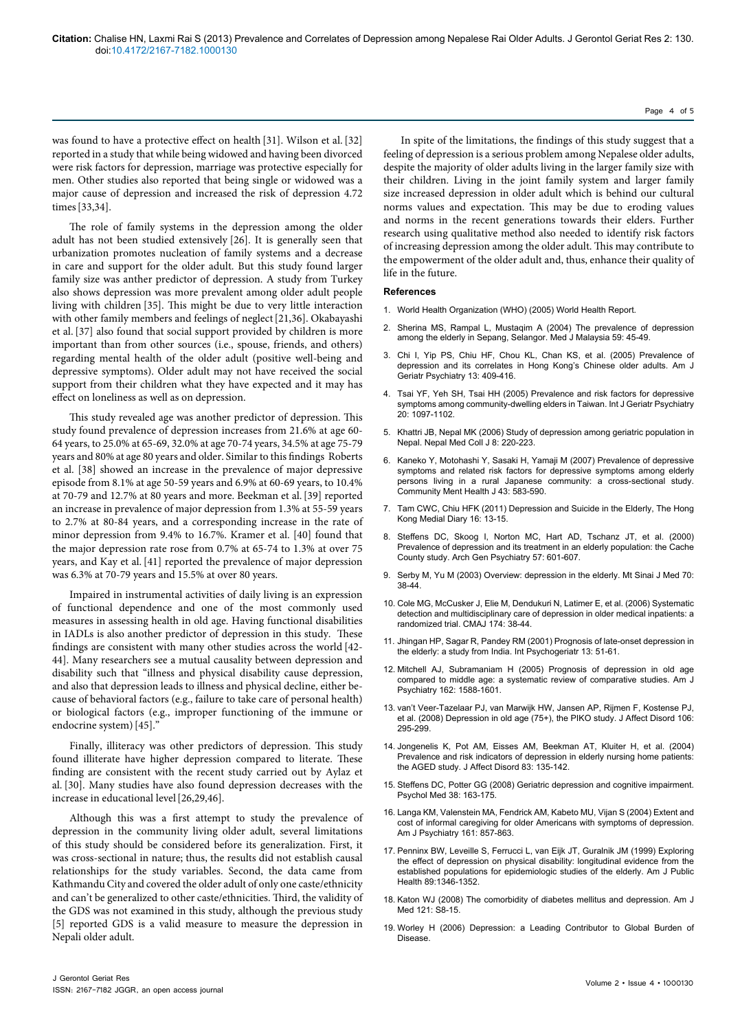was found to have a protective effect on health [31]. Wilson et al.[32] reported in a study that while being widowed and having been divorced were risk factors for depression, marriage was protective especially for men. Other studies also reported that being single or widowed was a major cause of depression and increased the risk of depression 4.72 times[33,34].

The role of family systems in the depression among the older adult has not been studied extensively [26]. It is generally seen that urbanization promotes nucleation of family systems and a decrease in care and support for the older adult. But this study found larger family size was anther predictor of depression. A study from Turkey also shows depression was more prevalent among older adult people living with children [35]. This might be due to very little interaction with other family members and feelings of neglect[21,36]. Okabayashi et al.[37] also found that social support provided by children is more important than from other sources (i.e., spouse, friends, and others) regarding mental health of the older adult (positive well-being and depressive symptoms). Older adult may not have received the social support from their children what they have expected and it may has effect on loneliness as well as on depression.

This study revealed age was another predictor of depression. This study found prevalence of depression increases from 21.6% at age 60- 64 years, to 25.0% at 65-69, 32.0% at age 70-74 years, 34.5% at age 75-79 years and 80% at age 80 years and older. Similar to this findings Roberts et al. [38] showed an increase in the prevalence of major depressive episode from 8.1% at age 50-59 years and 6.9% at 60-69 years, to 10.4% at 70-79 and 12.7% at 80 years and more. Beekman et al.[39] reported an increase in prevalence of major depression from 1.3% at 55-59 years to 2.7% at 80-84 years, and a corresponding increase in the rate of minor depression from 9.4% to 16.7%. Kramer et al. [40] found that the major depression rate rose from 0.7% at 65-74 to 1.3% at over 75 years, and Kay et al.[41] reported the prevalence of major depression was 6.3% at 70-79 years and 15.5% at over 80 years.

Impaired in instrumental activities of daily living is an expression of functional dependence and one of the most commonly used measures in assessing health in old age. Having functional disabilities in IADLs is also another predictor of depression in this study. These findings are consistent with many other studies across the world [42- 44]. Many researchers see a mutual causality between depression and disability such that "illness and physical disability cause depression, and also that depression leads to illness and physical decline, either because of behavioral factors (e.g., failure to take care of personal health) or biological factors (e.g., improper functioning of the immune or endocrine system) [45].'

Finally, illiteracy was other predictors of depression. This study found illiterate have higher depression compared to literate. These finding are consistent with the recent study carried out by Aylaz et al. [30]. Many studies have also found depression decreases with the increase in educational level[26,29,46].

Although this was a first attempt to study the prevalence of depression in the community living older adult, several limitations of this study should be considered before its generalization. First, it was cross-sectional in nature; thus, the results did not establish causal relationships for the study variables. Second, the data came from Kathmandu City and covered the older adult of only one caste/ethnicity and can't be generalized to other caste/ethnicities. Third, the validity of the GDS was not examined in this study, although the previous study [5] reported GDS is a valid measure to measure the depression in Nepali older adult.

In spite of the limitations, the findings of this study suggest that a feeling of depression is a serious problem among Nepalese older adults, despite the majority of older adults living in the larger family size with their children. Living in the joint family system and larger family size increased depression in older adult which is behind our cultural norms values and expectation. This may be due to eroding values and norms in the recent generations towards their elders. Further research using qualitative method also needed to identify risk factors of increasing depression among the older adult. This may contribute to the empowerment of the older adult and, thus, enhance their quality of life in the future.

#### **References**

- 1. World Health Organization (WHO) (2005) World Health Report.
- 2. Sherina MS, Rampal L, Mustaqim A (2004) The prevalence of depression among the elderly in Sepang, Selangor. Med J Malaysia 59: 45-49.
- Chi I, Yip PS, Chiu HF, Chou KL, Chan KS, et al. (2005) Prevalence of depression and its correlates in Hong Kong's Chinese older adults. Am J Geriatr Psychiatry 13: 409-416.
- 4. Tsai YF, Yeh SH, Tsai HH (2005) Prevalence and risk factors for depressive symptoms among community-dwelling elders in Taiwan. Int J Geriatr Psychiatry 20: 1097-1102.
- 5. Khattri JB, Nepal MK (2006) Study of depression among geriatric population in Nepal. Nepal Med Coll J 8: 220-223.
- 6. Kaneko Y, Motohashi Y, Sasaki H, Yamaji M (2007) Prevalence of depressive symptoms and related risk factors for depressive symptoms among elderly persons living in a rural Japanese community: a cross-sectional study. Community Ment Health J 43: 583-590.
- 7. Tam CWC, Chiu HFK (2011) Depression and Suicide in the Elderly, The Hong Kong Medial Diary 16: 13-15.
- 8. Steffens DC, Skoog I, Norton MC, Hart AD, Tschanz JT, et al. (2000) Prevalence of depression and its treatment in an elderly population: the Cache County study. Arch Gen Psychiatry 57: 601-607.
- 9. Serby M, Yu M (2003) Overview: depression in the elderly. Mt Sinai J Med 70: 38-44.
- 10. Cole MG, McCusker J, Elie M, Dendukuri N, Latimer E, et al. (2006) Systematic detection and multidisciplinary care of depression in older medical inpatients: a randomized trial. CMAJ 174: 38-44.
- 11. Jhingan HP, Sagar R, Pandey RM (2001) Prognosis of late-onset depression in the elderly: a study from India. Int Psychogeriatr 13: 51-61.
- 12. Mitchell AJ, Subramaniam H (2005) Prognosis of depression in old age compared to middle age: a systematic review of comparative studies. Am J Psychiatry 162: 1588-1601.
- 13. van't Veer-Tazelaar PJ, van Marwijk HW, Jansen AP, Rijmen F, Kostense PJ, et al. (2008) Depression in old age (75+), the PIKO study. J Affect Disord 106: 295-299.
- 14. Jongenelis K, Pot AM, Eisses AM, Beekman AT, Kluiter H, et al. (2004) Prevalence and risk indicators of depression in elderly nursing home patients: the AGED study. J Affect Disord 83: 135-142.
- 15. Steffens DC, Potter GG (2008) Geriatric depression and cognitive impairment. Psychol Med 38: 163-175.
- 16. Langa KM, Valenstein MA, Fendrick AM, Kabeto MU, Vijan S (2004) Extent and cost of informal caregiving for older Americans with symptoms of depression. Am J Psychiatry 161: 857-863.
- 17. Penninx BW, Leveille S, Ferrucci L, van Eijk JT, Guralnik JM (1999) Exploring the effect of depression on physical disability: longitudinal evidence from the established populations for epidemiologic studies of the elderly. Am J Public Health 89:1346-1352.
- 18. Katon WJ (2008) The comorbidity of diabetes mellitus and depression. Am J Med 121: S8-15.
- 19. Worley H (2006) Depression: a Leading Contributor to Global Burden of Disease.